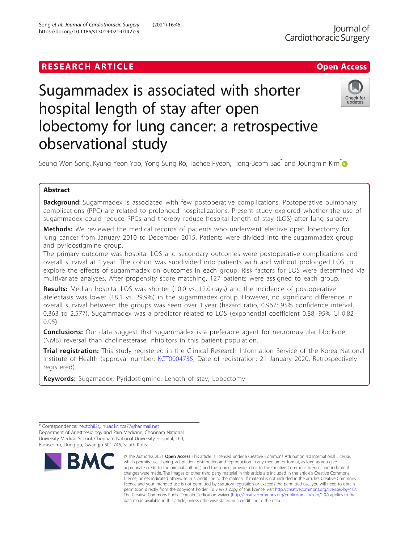## **RESEARCH ARTICLE Example 2018 12:30 The Contract of Contract ACCESS**

# Sugammadex is associated with shorter hospital length of stay after open lobectomy for lung cancer: a retrospective observational study



Seung Won Song, Kyung Yeon Yoo, Yong Sung Ro, Taehee Pyeon, Hong-Beom Bae<sup>\*</sup> and Joungmin Kim<sup>\*</sup>

### Abstract

**Background:** Sugammadex is associated with few postoperative complications. Postoperative pulmonary complications (PPC) are related to prolonged hospitalizations. Present study explored whether the use of sugammadex could reduce PPCs and thereby reduce hospital length of stay (LOS) after lung surgery.

Methods: We reviewed the medical records of patients who underwent elective open lobectomy for lung cancer from January 2010 to December 2015. Patients were divided into the sugammadex group and pyridostigmine group.

The primary outcome was hospital LOS and secondary outcomes were postoperative complications and overall survival at 1 year. The cohort was subdivided into patients with and without prolonged LOS to explore the effects of sugammadex on outcomes in each group. Risk factors for LOS were determined via multivariate analyses. After propensity score matching, 127 patients were assigned to each group.

Results: Median hospital LOS was shorter (10.0 vs. 12.0 days) and the incidence of postoperative atelectasis was lower (18.1 vs. 29.9%) in the sugammadex group. However, no significant difference in overall survival between the groups was seen over 1 year (hazard ratio, 0.967; 95% confidence interval, 0.363 to 2.577). Sugammadex was a predictor related to LOS (exponential coefficient 0.88; 95% CI 0.82– 0.95).

**Conclusions:** Our data suggest that sugammadex is a preferable agent for neuromuscular blockade (NMB) reversal than cholinesterase inhibitors in this patient population.

Trial registration: This study registered in the Clinical Research Information Service of the Korea National Institute of Health (approval number: [KCT0004735,](https://cris.nih.go.kr/cris/search/search_result_st01_en.jsp?seq=19097) Date of registration: 21 January 2020, Retrospectively registered).

Keywords: Sugamadex, Pyridostigmine, Length of stay, Lobectomy

<sup>\*</sup> Correspondence: [nextphil2@jnu.ac.kr;](mailto:nextphil2@jnu.ac.kr) [tca77@hanmail.net](mailto:tca77@hanmail.net) Department of Anesthesiology and Pain Medicine, Chonnam National University Medical School, Chonnam National University Hospital, 160, Baekseo-ro, Dong-gu, Gwangju 501-746, South Korea



<sup>©</sup> The Author(s), 2021 **Open Access** This article is licensed under a Creative Commons Attribution 4.0 International License, which permits use, sharing, adaptation, distribution and reproduction in any medium or format, as long as you give appropriate credit to the original author(s) and the source, provide a link to the Creative Commons licence, and indicate if changes were made. The images or other third party material in this article are included in the article's Creative Commons licence, unless indicated otherwise in a credit line to the material. If material is not included in the article's Creative Commons licence and your intended use is not permitted by statutory regulation or exceeds the permitted use, you will need to obtain permission directly from the copyright holder. To view a copy of this licence, visit [http://creativecommons.org/licenses/by/4.0/.](http://creativecommons.org/licenses/by/4.0/) The Creative Commons Public Domain Dedication waiver [\(http://creativecommons.org/publicdomain/zero/1.0/](http://creativecommons.org/publicdomain/zero/1.0/)) applies to the data made available in this article, unless otherwise stated in a credit line to the data.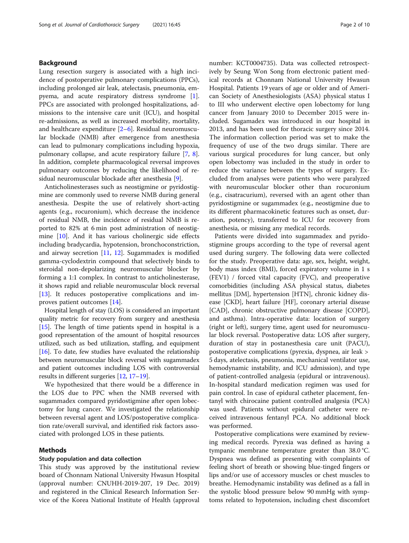#### Background

Lung resection surgery is associated with a high incidence of postoperative pulmonary complications (PPCs), including prolonged air leak, atelectasis, pneumonia, empyema, and acute respiratory distress syndrome [\[1](#page-8-0)]. PPCs are associated with prolonged hospitalizations, admissions to the intensive care unit (ICU), and hospital re-admissions, as well as increased morbidity, mortality, and healthcare expenditure [[2](#page-8-0)–[6](#page-8-0)]. Residual neuromuscular blockade (NMB) after emergence from anesthesia can lead to pulmonary complications including hypoxia, pulmonary collapse, and acute respiratory failure [\[7](#page-8-0), [8](#page-8-0)]. In addition, complete pharmacological reversal improves pulmonary outcomes by reducing the likelihood of residual neuromuscular blockade after anesthesia [\[9](#page-8-0)].

Anticholinesterases such as neostigmine or pyridostigmine are commonly used to reverse NMB during general anesthesia. Despite the use of relatively short-acting agents (e.g., rocuronium), which decrease the incidence of residual NMB, the incidence of residual NMB is reported to 82% at 6 min post administration of neostigmine [[10](#page-8-0)]. And it has various cholinergic side effects including bradycardia, hypotension, bronchoconstriction, and airway secretion  $[11, 12]$  $[11, 12]$  $[11, 12]$  $[11, 12]$ . Sugammadex is modified gamma-cyclodextrin compound that selectively binds to steroidal non-depolarizing neuromuscular blocker by forming a 1:1 complex. In contrast to anticholinesterase, it shows rapid and reliable neuromuscular block reversal [[13\]](#page-8-0). It reduces postoperative complications and improves patient outcomes [\[14\]](#page-8-0).

Hospital length of stay (LOS) is considered an important quality metric for recovery from surgery and anesthesia [[15](#page-8-0)]. The length of time patients spend in hospital is a good representation of the amount of hospital resources utilized, such as bed utilization, staffing, and equipment [[16](#page-8-0)]. To date, few studies have evaluated the relationship between neuromuscular block reversal with sugammadex and patient outcomes including LOS with controversial results in different surgeries [\[12](#page-8-0), [17](#page-8-0)–[19\]](#page-8-0).

We hypothesized that there would be a difference in the LOS due to PPC when the NMB reversed with sugammadex compared pyridostigmine after open lobectomy for lung cancer. We investigated the relationship between reversal agent and LOS/postoperative complication rate/overall survival, and identified risk factors associated with prolonged LOS in these patients.

#### Methods

#### Study population and data collection

This study was approved by the institutional review board of Chonnam National University Hwasun Hospital (approval number: CNUHH-2019-207, 19 Dec. 2019) and registered in the Clinical Research Information Service of the Korea National Institute of Health (approval number: KCT0004735). Data was collected retrospectively by Seung Won Song from electronic patient medical records at Chonnam National University Hwasun Hospital. Patients 19 years of age or older and of American Society of Anesthesiologists (ASA) physical status I to III who underwent elective open lobectomy for lung cancer from January 2010 to December 2015 were included. Sugamadex was introduced in our hospital in 2013, and has been used for thoracic surgery since 2014. The information collection period was set to make the frequency of use of the two drugs similar. There are various surgical procedures for lung cancer, but only open lobectomy was included in the study in order to reduce the variance between the types of surgery. Excluded from analyses were patients who were paralyzed with neuromuscular blocker other than rocuronium (e.g., cisatracurium), reversed with an agent other than pyridostigmine or sugammadex (e.g., neostigmine due to its different pharmacokinetic features such as onset, duration, potency), transferred to ICU for recovery from anesthesia, or missing any medical records.

Patients were divided into sugammadex and pyridostigmine groups according to the type of reversal agent used during surgery. The following data were collected for the study. Preoperative data: age, sex, height, weight, body mass index (BMI), forced expiratory volume in 1 s (FEV1) / forced vital capacity (FVC), and preoperative comorbidities (including ASA physical status, diabetes mellitus [DM], hypertension [HTN], chronic kidney disease [CKD], heart failure [HF], coronary arterial disease [CAD], chronic obstructive pulmonary disease [COPD], and asthma). Intra-operative data: location of surgery (right or left), surgery time, agent used for neuromuscular block reversal. Postoperative data: LOS after surgery, duration of stay in postanesthesia care unit (PACU), postoperative complications (pyrexia, dyspnea, air leak > 5 days, atelectasis, pneumonia, mechanical ventilator use, hemodynamic instability, and ICU admission), and type of patient-controlled analgesia (epidural or intravenous). In-hospital standard medication regimen was used for pain control. In case of epidural catheter placement, fentanyl with chirocaine patient controlled analgesia (PCA) was used. Patients without epidural catheter were received intravenous fentanyl PCA. No additional block was performed.

Postoperative complications were examined by reviewing medical records. Pyrexia was defined as having a tympanic membrane temperature greater than 38.0 °C. Dyspnea was defined as presenting with complaints of feeling short of breath or showing blue-tinged fingers or lips and/or use of accessory muscles or chest muscles to breathe. Hemodynamic instability was defined as a fall in the systolic blood pressure below 90 mmHg with symptoms related to hypotension, including chest discomfort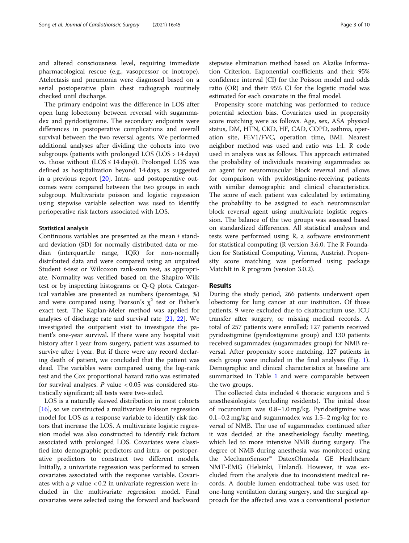and altered consciousness level, requiring immediate pharmacological rescue (e.g., vasopressor or inotrope). Atelectasis and pneumonia were diagnosed based on a serial postoperative plain chest radiograph routinely checked until discharge.

The primary endpoint was the difference in LOS after open lung lobectomy between reversal with sugammadex and pyridostigmine. The secondary endpoints were differences in postoperative complications and overall survival between the two reversal agents. We performed additional analyses after dividing the cohorts into two subgroups (patients with prolonged LOS (LOS > 14 days) vs. those without  $(LOS \le 14 \text{ days})$ ). Prolonged LOS was defined as hospitalization beyond 14 days, as suggested in a previous report  $[20]$  $[20]$  $[20]$ . Intra- and postoperative outcomes were compared between the two groups in each subgroup. Multivariate poisson and logistic regression using stepwise variable selection was used to identify perioperative risk factors associated with LOS.

#### Statistical analysis

Continuous variables are presented as the mean ± standard deviation (SD) for normally distributed data or median (interquartile range, IQR) for non-normally distributed data and were compared using an unpaired Student *t*-test or Wilcoxon rank-sum test, as appropriate. Normality was verified based on the Shapiro-Wilk test or by inspecting histograms or Q-Q plots. Categorical variables are presented as numbers (percentage, %) and were compared using Pearson's  $\chi^2$  test or Fisher's exact test. The Kaplan-Meier method was applied for analyses of discharge rate and survival rate [\[21,](#page-8-0) [22](#page-8-0)]. We investigated the outpatient visit to investigate the patient's one-year survival. If there were any hospital visit history after 1 year from surgery, patient was assumed to survive after 1 year. But if there were any record declaring death of patient, we concluded that the patient was dead. The variables were compared using the log-rank test and the Cox proportional hazard ratio was estimated for survival analyses.  $P$  value  $< 0.05$  was considered statistically significant; all tests were two-sided.

LOS is a naturally skewed distribution in most cohorts [[16\]](#page-8-0), so we constructed a multivariate Poisson regression model for LOS as a response variable to identify risk factors that increase the LOS. A multivariate logistic regression model was also constructed to identify risk factors associated with prolonged LOS. Covariates were classified into demographic predictors and intra- or postoperative predictors to construct two different models. Initially, a univariate regression was performed to screen covariates associated with the response variable. Covariates with a  $p$  value  $< 0.2$  in univariate regression were included in the multivariate regression model. Final covariates were selected using the forward and backward stepwise elimination method based on Akaike Information Criterion. Exponential coefficients and their 95% confidence interval (CI) for the Poisson model and odds ratio (OR) and their 95% CI for the logistic model was estimated for each covariate in the final model.

Propensity score matching was performed to reduce potential selection bias. Covariates used in propensity score matching were as follows. Age, sex, ASA physical status, DM, HTN, CKD, HF, CAD, COPD, asthma, operation site, FEV1/FVC, operation time, BMI. Nearest neighbor method was used and ratio was 1:1. R code used in analysis was as follows. This approach estimated the probability of individuals receiving sugammadex as an agent for neuromuscular block reversal and allows for comparison with pyridostigmine-receiving patients with similar demographic and clinical characteristics. The score of each patient was calculated by estimating the probability to be assigned to each neuromuscular block reversal agent using multivariate logistic regression. The balance of the two groups was assessed based on standardized differences. All statistical analyses and tests were performed using R, a software environment for statistical computing (R version 3.6.0; The R Foundation for Statistical Computing, Vienna, Austria). Propensity score matching was performed using package MatchIt in R program (version 3.0.2).

#### Results

During the study period, 266 patients underwent open lobectomy for lung cancer at our institution. Of those patients, 9 were excluded due to cisatracurium use, ICU transfer after surgery, or missing medical records. A total of 257 patients were enrolled; 127 patients received pyridostigmine (pyridostigmine group) and 130 patients received sugammadex (sugammadex group) for NMB reversal. After propensity score matching, 127 patients in each group were included in the final analyses (Fig. [1](#page-3-0)). Demographic and clinical characteristics at baseline are summarized in Table [1](#page-3-0) and were comparable between the two groups.

The collected data included 4 thoracic surgeons and 5 anesthesiologists (excluding residents). The initial dose of rocuronium was 0.8–1.0 mg/kg. Pyridostigmine was  $0.1-0.2$  mg/kg and sugammadex was  $1.5-2$  mg/kg for reversal of NMB. The use of sugammadex continued after it was decided at the anesthesiology faculty meeting, which led to more intensive NMB during surgery. The degree of NMB during anesthesia was monitored using the MechanoSensor™ DatexOhmeda GE Healthcare NMT-EMG (Helsinki, Finland). However, it was excluded from the analysis due to inconsistent medical records. A double lumen endotracheal tube was used for one-lung ventilation during surgery, and the surgical approach for the affected area was a conventional posterior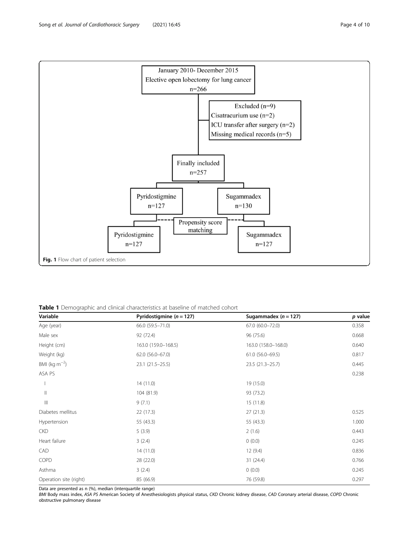<span id="page-3-0"></span>

Table 1 Demographic and clinical characteristics at baseline of matched cohort

| Variable               | Pyridostigmine ( $n = 127$ ) | Sugammadex $(n = 127)$ | p value |
|------------------------|------------------------------|------------------------|---------|
| Age (year)             | 66.0 (59.5 - 71.0)           | 67.0 (60.0-72.0)       | 0.358   |
| Male sex               | 92 (72.4)                    | 96 (75.6)              | 0.668   |
| Height (cm)            | 163.0 (159.0-168.5)          | 163.0 (158.0-168.0)    | 0.640   |
| Weight (kg)            | 62.0 (56.0-67.0)             | 61.0 (56.0-69.5)       | 0.817   |
| BMI ( $kg m^{-2}$ )    | $23.1(21.5-25.5)$            | 23.5 (21.3-25.7)       | 0.445   |
| ASA PS                 |                              |                        | 0.238   |
|                        | 14(11.0)                     | 19 (15.0)              |         |
| $\vert\vert$           | 104 (81.9)                   | 93 (73.2)              |         |
| $\vert\vert\vert$      | 9(7.1)                       | 15(11.8)               |         |
| Diabetes mellitus      | 22(17.3)                     | 27(21.3)               | 0.525   |
| Hypertension           | 55 (43.3)                    | 55 (43.3)              | 1.000   |
| <b>CKD</b>             | 5(3.9)                       | 2(1.6)                 | 0.443   |
| Heart failure          | 3(2.4)                       | 0(0.0)                 | 0.245   |
| CAD                    | 14(11.0)                     | 12(9.4)                | 0.836   |
| COPD                   | 28 (22.0)                    | 31(24.4)               | 0.766   |
| Asthma                 | 3(2.4)                       | 0(0.0)                 | 0.245   |
| Operation site (right) | 85 (66.9)                    | 76 (59.8)              | 0.297   |

Data are presented as n (%), median (interquartile range)

BMI Body mass index, ASA PS American Society of Anesthesiologists physical status, CKD Chronic kidney disease, CAD Coronary arterial disease, COPD Chronic obstructive pulmonary disease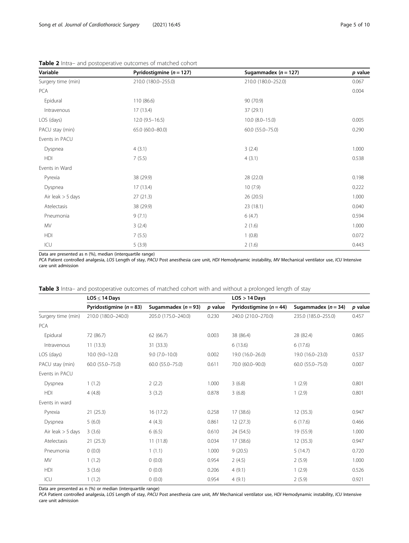| Variable            | Pyridostigmine ( $n = 127$ ) | Sugammadex ( $n = 127$ ) | p value |
|---------------------|------------------------------|--------------------------|---------|
| Surgery time (min)  | 210.0 (180.0-255.0)          | 210.0 (180.0-252.0)      | 0.067   |
| PCA                 |                              |                          | 0.004   |
| Epidural            | 110 (86.6)                   | 90 (70.9)                |         |
| Intravenous         | 17(13.4)                     | 37(29.1)                 |         |
| LOS (days)          | $12.0(9.5-16.5)$             | $10.0$ $(8.0-15.0)$      | 0.005   |
| PACU stay (min)     | 65.0 (60.0-80.0)             | 60.0 (55.0-75.0)         | 0.290   |
| Events in PACU      |                              |                          |         |
| Dyspnea             | 4(3.1)                       | 3(2.4)                   | 1.000   |
| HDI                 | 7(5.5)                       | 4(3.1)                   | 0.538   |
| Events in Ward      |                              |                          |         |
| Pyrexia             | 38 (29.9)                    | 28 (22.0)                | 0.198   |
| Dyspnea             | 17(13.4)                     | 10(7.9)                  | 0.222   |
| Air leak $>$ 5 days | 27(21.3)                     | 26 (20.5)                | 1.000   |
| Atelectasis         | 38 (29.9)                    | 23 (18.1)                | 0.040   |
| Pneumonia           | 9(7.1)                       | 6(4.7)                   | 0.594   |
| MV                  | 3(2.4)                       | 2(1.6)                   | 1.000   |
| HDI                 | 7(5.5)                       | 1(0.8)                   | 0.072   |
| ICU                 | 5(3.9)                       | 2(1.6)                   | 0.443   |

<span id="page-4-0"></span>Table 2 Intra- and postoperative outcomes of matched cohort

Data are presented as n (%), median (interquartile range)

PCA Patient controlled analgesia, LOS Length of stay, PACU Post anesthesia care unit, HDI Hemodynamic instability, MV Mechanical ventilator use, ICU Intensive care unit admission

| <b>Table 3</b> Intra– and postoperative outcomes of matched cohort with and without a prolonged length of stay |  |  |  |  |
|----------------------------------------------------------------------------------------------------------------|--|--|--|--|
|----------------------------------------------------------------------------------------------------------------|--|--|--|--|

|                     | $LOS \leq 14$ Days          |                       |         | $LOS > 14$ Days             |                         |         |
|---------------------|-----------------------------|-----------------------|---------|-----------------------------|-------------------------|---------|
|                     | Pyridostigmine ( $n = 83$ ) | Sugammadex $(n = 93)$ | p value | Pyridostigmine ( $n = 44$ ) | Sugammadex ( $n = 34$ ) | p value |
| Surgery time (min)  | 210.0 (180.0-240.0)         | 205.0 (175.0-240.0)   | 0.230   | 240.0 (210.0-270.0)         | 235.0 (185.0-255.0)     | 0.457   |
| PCA                 |                             |                       |         |                             |                         |         |
| Epidural            | 72 (86.7)                   | 62(66.7)              | 0.003   | 38 (86.4)                   | 28 (82.4)               | 0.865   |
| Intravenous         | 11(13.3)                    | 31(33.3)              |         | 6(13.6)                     | 6(17.6)                 |         |
| LOS (days)          | $10.0(9.0-12.0)$            | $9.0(7.0-10.0)$       | 0.002   | 19.0 (16.0-26.0)            | 19.0 (16.0-23.0)        | 0.537   |
| PACU stay (min)     | 60.0 (55.0-75.0)            | 60.0 (55.0-75.0)      | 0.611   | 70.0 (60.0-90.0)            | 60.0 (55.0-75.0)        | 0.007   |
| Events in PACU      |                             |                       |         |                             |                         |         |
| Dyspnea             | 1(1.2)                      | 2(2.2)                | 1.000   | 3(6.8)                      | 1(2.9)                  | 0.801   |
| HDI                 | 4(4.8)                      | 3(3.2)                | 0.878   | 3(6.8)                      | 1(2.9)                  | 0.801   |
| Events in ward      |                             |                       |         |                             |                         |         |
| Pyrexia             | 21(25.3)                    | 16(17.2)              | 0.258   | 17 (38.6)                   | 12(35.3)                | 0.947   |
| Dyspnea             | 5(6.0)                      | 4(4.3)                | 0.861   | 12(27.3)                    | 6(17.6)                 | 0.466   |
| Air leak $>$ 5 days | 3(3.6)                      | 6(6.5)                | 0.610   | 24 (54.5)                   | 19 (55.9)               | 1.000   |
| Atelectasis         | 21(25.3)                    | 11(11.8)              | 0.034   | 17 (38.6)                   | 12(35.3)                | 0.947   |
| Pneumonia           | (0.0)                       | 1(1.1)                | 1.000   | 9(20.5)                     | 5(14.7)                 | 0.720   |
| <b>MV</b>           | 1(1.2)                      | (0.0)                 | 0.954   | 2(4.5)                      | 2(5.9)                  | 1.000   |
| <b>HDI</b>          | 3(3.6)                      | 0(0.0)                | 0.206   | 4(9.1)                      | 1(2.9)                  | 0.526   |
| ICU                 | 1(1.2)                      | (0.0)                 | 0.954   | 4(9.1)                      | 2(5.9)                  | 0.921   |

Data are presented as n (%) or median (interquartile range)

PCA Patient controlled analgesia, LOS Length of stay, PACU Post anesthesia care unit, MV Mechanical ventilator use, HDI Hemodynamic instability, ICU Intensive care unit admission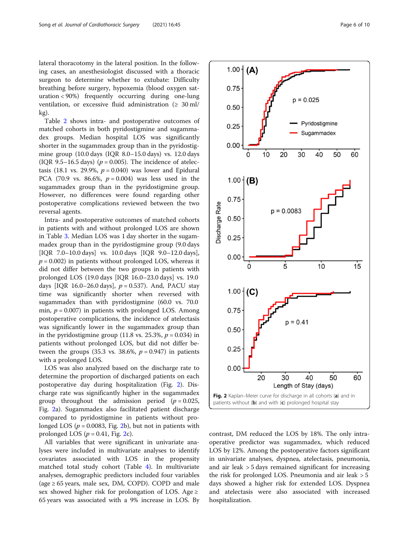lateral thoracotomy in the lateral position. In the following cases, an anesthesiologist discussed with a thoracic surgeon to determine whether to extubate: Difficulty breathing before surgery, hypoxemia (blood oxygen saturation < 90%) frequently occurring during one-lung ventilation, or excessive fluid administration ( $\geq 30$  ml/ kg).

Table [2](#page-4-0) shows intra- and postoperative outcomes of matched cohorts in both pyridostigmine and sugammadex groups. Median hospital LOS was significantly shorter in the sugammadex group than in the pyridostigmine group (10.0 days (IQR 8.0–15.0 days) vs. 12.0 days (IQR 9.5–16.5 days) ( $p = 0.005$ ). The incidence of atelectasis (18.1 vs. 29.9%,  $p = 0.040$ ) was lower and Epidural PCA (70.9 vs. 86.6%,  $p = 0.004$ ) was less used in the sugammadex group than in the pyridostigmine group. However, no differences were found regarding other postoperative complications reviewed between the two reversal agents.

Intra- and postoperative outcomes of matched cohorts in patients with and without prolonged LOS are shown in Table [3.](#page-4-0) Median LOS was 1 day shorter in the sugammadex group than in the pyridostigmine group (9.0 days [IQR 7.0–10.0 days] vs. 10.0 days [IQR 9.0–12.0 days],  $p = 0.002$ ) in patients without prolonged LOS, whereas it did not differ between the two groups in patients with prolonged LOS (19.0 days [IQR 16.0–23.0 days] vs. 19.0 days [IQR 16.0–26.0 days],  $p = 0.537$ ). And, PACU stay time was significantly shorter when reversed with sugammadex than with pyridostigmine (60.0 vs. 70.0 min,  $p = 0.007$ ) in patients with prolonged LOS. Among postoperative complications, the incidence of atelectasis was significantly lower in the sugammadex group than in the pyridostigmine group (11.8 vs. 25.3%,  $p = 0.034$ ) in patients without prolonged LOS, but did not differ between the groups (35.3 vs. 38.6%,  $p = 0.947$ ) in patients with a prolonged LOS.

LOS was also analyzed based on the discharge rate to determine the proportion of discharged patients on each postoperative day during hospitalization (Fig. 2). Discharge rate was significantly higher in the sugammadex group throughout the admission period ( $p = 0.025$ , Fig. 2a). Sugammadex also facilitated patient discharge compared to pyridostigmine in patients without prolonged LOS ( $p = 0.0083$ , Fig. 2b), but not in patients with prolonged LOS ( $p = 0.41$ , Fig. 2c).

All variables that were significant in univariate analyses were included in multivariate analyses to identify covariates associated with LOS in the propensity matched total study cohort (Table [4\)](#page-6-0). In multivariate analyses, demographic predictors included four variables (age ≥ 65 years, male sex, DM, COPD). COPD and male sex showed higher risk for prolongation of LOS. Age  $\geq$ 65 years was associated with a 9% increase in LOS. By





contrast, DM reduced the LOS by 18%. The only intraoperative predictor was sugammadex, which reduced LOS by 12%. Among the postoperative factors significant in univariate analyses, dyspnea, atelectasis, pneumonia, and air leak > 5 days remained significant for increasing the risk for prolonged LOS. Pneumonia and air leak > 5 days showed a higher risk for extended LOS. Dyspnea and atelectasis were also associated with increased hospitalization.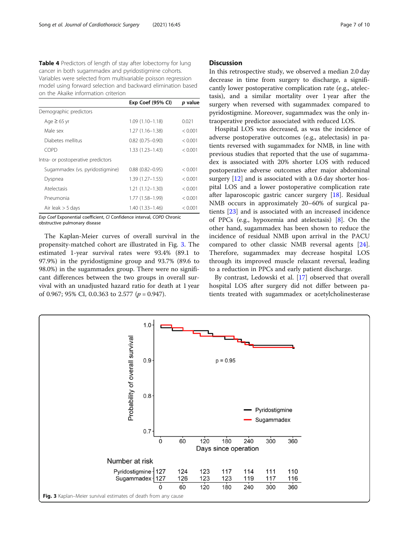<span id="page-6-0"></span>Table 4 Predictors of length of stay after lobectomy for lung cancer in both sugammadex and pyridostigmine cohorts. Variables were selected from multivariable poisson regression model using forward selection and backward elimination based on the Akaike information criterion

|                                    | Exp Coef (95% CI)      | p value |
|------------------------------------|------------------------|---------|
| Demographic predictors             |                        |         |
| Age $\geq$ 65 yr                   | $1.09(1.10 - 1.18)$    | 0.021   |
| Male sex                           | $1.27(1.16 - 1.38)$    | < 0.001 |
| Diabetes mellitus                  | $0.82$ $(0.75 - 0.90)$ | < 0.001 |
| COPD                               | $1.33(1.23 - 1.43)$    | < 0.001 |
| Intra- or postoperative predictors |                        |         |
| Sugammadex (vs. pyridostigmine)    | $0.88$ $(0.82 - 0.95)$ | < 0.001 |
| Dyspnea                            | $1.39(1.27 - 1.55)$    | < 0.001 |
| Atelectasis                        | $1.21(1.12 - 1.30)$    | < 0.001 |
| Pneumonia                          | 1.77 (1.58–1.99)       | < 0.001 |
| Air leak $>$ 5 days                | $1.40(1.33 - 1.46)$    | < 0.001 |

Exp Coef Exponential coefficient, CI Confidence interval, COPD Chronic obstructive pulmonary disease

The Kaplan-Meier curves of overall survival in the propensity-matched cohort are illustrated in Fig. 3. The estimated 1-year survival rates were 93.4% (89.1 to 97.9%) in the pyridostigmine group and 93.7% (89.6 to 98.0%) in the sugammadex group. There were no significant differences between the two groups in overall survival with an unadjusted hazard ratio for death at 1 year of 0.967; 95% CI, 0.0.363 to 2.577 ( $p = 0.947$ ).

#### **Discussion**

In this retrospective study, we observed a median 2.0 day decrease in time from surgery to discharge, a significantly lower postoperative complication rate (e.g., atelectasis), and a similar mortality over 1 year after the surgery when reversed with sugammadex compared to pyridostigmine. Moreover, sugammadex was the only intraoperative predictor associated with reduced LOS.

Hospital LOS was decreased, as was the incidence of adverse postoperative outcomes (e.g., atelectasis) in patients reversed with sugammadex for NMB, in line with previous studies that reported that the use of sugammadex is associated with 20% shorter LOS with reduced postoperative adverse outcomes after major abdominal surgery [[12\]](#page-8-0) and is associated with a 0.6 day shorter hospital LOS and a lower postoperative complication rate after laparoscopic gastric cancer surgery [\[18](#page-8-0)]. Residual NMB occurs in approximately 20–60% of surgical patients [[23\]](#page-8-0) and is associated with an increased incidence of PPCs (e.g., hypoxemia and atelectasis) [[8\]](#page-8-0). On the other hand, sugammadex has been shown to reduce the incidence of residual NMB upon arrival in the PACU compared to other classic NMB reversal agents [\[24](#page-8-0)]. Therefore, sugammadex may decrease hospital LOS through its improved muscle relaxant reversal, leading to a reduction in PPCs and early patient discharge.

By contrast, Ledowski et al. [[17\]](#page-8-0) observed that overall hospital LOS after surgery did not differ between patients treated with sugammadex or acetylcholinesterase

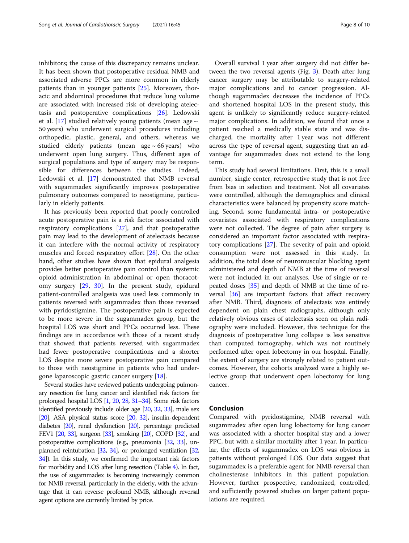inhibitors; the cause of this discrepancy remains unclear. It has been shown that postoperative residual NMB and associated adverse PPCs are more common in elderly patients than in younger patients [\[25\]](#page-8-0). Moreover, thoracic and abdominal procedures that reduce lung volume are associated with increased risk of developing atelectasis and postoperative complications [\[26](#page-9-0)]. Ledowski et al. [[17](#page-8-0)] studied relatively young patients (mean age  $\sim$ 50 years) who underwent surgical procedures including orthopedic, plastic, general, and others, whereas we studied elderly patients (mean age  $\sim$  66 years) who underwent open lung surgery. Thus, different ages of surgical populations and type of surgery may be responsible for differences between the studies. Indeed, Ledowski et al. [[17](#page-8-0)] demonstrated that NMB reversal with sugammadex significantly improves postoperative pulmonary outcomes compared to neostigmine, particularly in elderly patients.

It has previously been reported that poorly controlled acute postoperative pain is a risk factor associated with respiratory complications [\[27](#page-9-0)], and that postoperative pain may lead to the development of atelectasis because it can interfere with the normal activity of respiratory muscles and forced respiratory effort [\[28\]](#page-9-0). On the other hand, other studies have shown that epidural analgesia provides better postoperative pain control than systemic opioid administration in abdominal or open thoracotomy surgery [\[29](#page-9-0), [30\]](#page-9-0). In the present study, epidural patient-controlled analgesia was used less commonly in patients reversed with sugammadex than those reversed with pyridostigmine. The postoperative pain is expected to be more severe in the sugammadex group, but the hospital LOS was short and PPCs occurred less. These findings are in accordance with those of a recent study that showed that patients reversed with sugammadex had fewer postoperative complications and a shorter LOS despite more severe postoperative pain compared to those with neostigmine in patients who had undergone laparoscopic gastric cancer surgery [\[18](#page-8-0)].

Several studies have reviewed patients undergoing pulmonary resection for lung cancer and identified risk factors for prolonged hospital LOS [\[1,](#page-8-0) [20,](#page-8-0) [28](#page-9-0), [31](#page-9-0)–[34\]](#page-9-0). Some risk factors identified previously include older age [\[20](#page-8-0), [32,](#page-9-0) [33](#page-9-0)], male sex [[20\]](#page-8-0), ASA physical status score [\[20,](#page-8-0) [32](#page-9-0)], insulin-dependent diabetes [\[20](#page-8-0)], renal dysfunction [\[20](#page-8-0)], percentage predicted FEV1 [\[20](#page-8-0), [33\]](#page-9-0), surgeon [\[33\]](#page-9-0), smoking [\[20](#page-8-0)], COPD [[32\]](#page-9-0), and postoperative complications (e.g., pneumonia [\[32,](#page-9-0) [33](#page-9-0)], unplanned reintubation [[32,](#page-9-0) [34\]](#page-9-0), or prolonged ventilation [\[32](#page-9-0), [34\]](#page-9-0)). In this study, we confirmed the important risk factors for morbidity and LOS after lung resection (Table [4](#page-6-0)). In fact, the use of sugammadex is becoming increasingly common for NMB reversal, particularly in the elderly, with the advantage that it can reverse profound NMB, although reversal agent options are currently limited by price.

Overall survival 1 year after surgery did not differ between the two reversal agents (Fig. [3\)](#page-6-0). Death after lung cancer surgery may be attributable to surgery-related major complications and to cancer progression. Although sugammadex decreases the incidence of PPCs and shortened hospital LOS in the present study, this agent is unlikely to significantly reduce surgery-related major complications. In addition, we found that once a patient reached a medically stable state and was discharged, the mortality after 1 year was not different across the type of reversal agent, suggesting that an advantage for sugammadex does not extend to the long term.

This study had several limitations. First, this is a small number, single center, retrospective study that is not free from bias in selection and treatment. Not all covariates were controlled, although the demographics and clinical characteristics were balanced by propensity score matching. Second, some fundamental intra- or postoperative covariates associated with respiratory complications were not collected. The degree of pain after surgery is considered an important factor associated with respiratory complications [\[27](#page-9-0)]. The severity of pain and opioid consumption were not assessed in this study. In addition, the total dose of neuromuscular blocking agent administered and depth of NMB at the time of reversal were not included in our analyses. Use of single or repeated doses [[35](#page-9-0)] and depth of NMB at the time of reversal [\[36\]](#page-9-0) are important factors that affect recovery after NMB. Third, diagnosis of atelectasis was entirely dependent on plain chest radiographs, although only relatively obvious cases of atelectasis seen on plain radiography were included. However, this technique for the diagnosis of postoperative lung collapse is less sensitive than computed tomography, which was not routinely performed after open lobectomy in our hospital. Finally, the extent of surgery are strongly related to patient outcomes. However, the cohorts analyzed were a highly selective group that underwent open lobectomy for lung cancer.

#### Conclusion

Compared with pyridostigmine, NMB reversal with sugammadex after open lung lobectomy for lung cancer was associated with a shorter hospital stay and a lower PPC, but with a similar mortality after 1 year. In particular, the effects of sugammadex on LOS was obvious in patients without prolonged LOS. Our data suggest that sugammadex is a preferable agent for NMB reversal than cholinesterase inhibitors in this patient population. However, further prospective, randomized, controlled, and sufficiently powered studies on larger patient populations are required.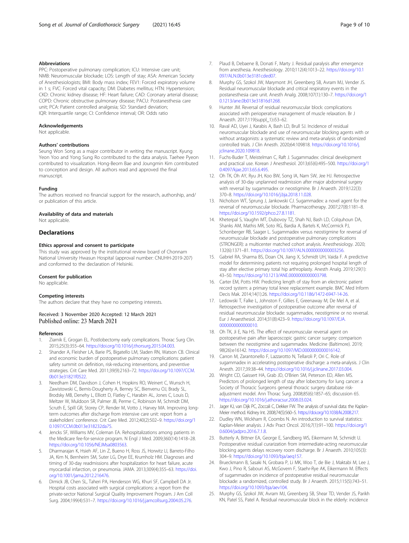#### <span id="page-8-0"></span>Abbreviations

PPC: Postoperative pulmonary complication; ICU: Intensive care unit; NMB: Neuromuscular blockade; LOS: Length of stay; ASA: American Society of Anesthesiologists; BMI: Body mass index; FEV1: Forced expiratory volume in 1 s; FVC: Forced vital capacity; DM: Diabetes mellitus; HTN: Hypertension; CKD: Chronic kidney disease; HF: Heart failure; CAD: Coronary arterial disease; COPD: Chronic obstructive pulmonary disease; PACU: Postanesthesia care unit; PCA: Patient controlled analgesia; SD: Standard deviation; IQR: Interquartile range; CI: Confidence interval; OR: Odds ratio

#### Acknowledgements

Not applicable.

#### Authors' contributions

Seung Won Song as a major contributor in writing the manuscript. Kyung Yeon Yoo and Yong Sung Ro contributed to the data analysis. Taehee Pyeon contributed to visualization. Hong-Beom Bae and Joungmin Kim contributed to conception and design. All authors read and approved the final manuscript.

#### Funding

The authors received no financial support for the research, authorship, and/ or publication of this article.

#### Availability of data and materials

Not applicable

#### Declarations

#### Ethics approval and consent to participate

This study was approved by the institutional review board of Chonnam National University Hwasun Hospital (approval number: CNUHH-2019-207) and conformed to the declaration of Helsinki.

#### Consent for publication

No applicable.

#### Competing interests

The authors declare that they have no competing interests.

# Received: 3 November 2020 Accepted: 12 March 2021

#### References

- Ziarnik E, Grogan EL. Postlobectomy early complications. Thorac Surg Clin. 2015;25(3):355–64. [https://doi.org/10.1016/j.thorsurg.2015.04.003.](https://doi.org/10.1016/j.thorsurg.2015.04.003)
- 2. Shander A, Fleisher LA, Barie PS, Bigatello LM, Sladen RN, Watson CB. Clinical and economic burden of postoperative pulmonary complications: patient safety summit on definition, risk-reducing interventions, and preventive strategies. Crit Care Med. 2011;39(9):2163–72. [https://doi.org/10.1097/CCM.](https://doi.org/10.1097/CCM.0b013e31821f0522) [0b013e31821f0522](https://doi.org/10.1097/CCM.0b013e31821f0522).
- 3. Needham DM, Davidson J, Cohen H, Hopkins RO, Weinert C, Wunsch H, Zawistowski C, Bemis-Dougherty A, Berney SC, Bienvenu OJ, Brady SL, Brodsky MB, Denehy L, Elliott D, Flatley C, Harabin AL, Jones C, Louis D, Meltzer W, Muldoon SR, Palmer JB, Perme C, Robinson M, Schmidt DM, Scruth E, Spill GR, Storey CP, Render M, Votto J, Harvey MA. Improving longterm outcomes after discharge from intensive care unit: report from a stakeholders' conference. Crit Care Med. 2012;40(2):502–9. [https://doi.org/1](https://doi.org/10.1097/CCM.0b013e318232da75) [0.1097/CCM.0b013e318232da75](https://doi.org/10.1097/CCM.0b013e318232da75).
- Jencks SF, Williams MV, Coleman EA. Rehospitalizations among patients in the Medicare fee-for-service program. N Engl J Med. 2009;360(14):1418–28. <https://doi.org/10.1056/NEJMsa0803563>.
- 5. Dharmarajan K, Hsieh AF, Lin Z, Bueno H, Ross JS, Horwitz LI, Barreto-Filho JA, Kim N, Bernheim SM, Suter LG, Drye EE, Krumholz HM. Diagnoses and timing of 30-day readmissions after hospitalization for heart failure, acute myocardial infarction, or pneumonia. JAMA. 2013;309(4):355–63. [https://doi.](https://doi.org/10.1001/jama.2012.216476) [org/10.1001/jama.2012.216476](https://doi.org/10.1001/jama.2012.216476).
- 6. Dimick JB, Chen SL, Taheri PA, Henderson WG, Khuri SF, Campbell DA Jr. Hospital costs associated with surgical complications: a report from the private-sector National Surgical Quality Improvement Program. J Am Coll Surg. 2004;199(4):531–7. [https://doi.org/10.1016/j.jamcollsurg.2004.05.276.](https://doi.org/10.1016/j.jamcollsurg.2004.05.276)
- 7. Plaud B, Debaene B, Donati F, Marty J. Residual paralysis after emergence from anesthesia. Anesthesiology. 2010;112(4):1013–22. [https://doi.org/10.1](https://doi.org/10.1097/ALN.0b013e3181cded07) [097/ALN.0b013e3181cded07](https://doi.org/10.1097/ALN.0b013e3181cded07).
- Murphy GS, Szokol JW, Marymont JH, Greenberg SB, Avram MJ, Vender JS. Residual neuromuscular blockade and critical respiratory events in the postanesthesia care unit. Anesth Analg. 2008;107(1):130–7. [https://doi.org/1](https://doi.org/10.1213/ane.0b013e31816d1268) [0.1213/ane.0b013e31816d1268.](https://doi.org/10.1213/ane.0b013e31816d1268)
- 9. Hunter JM. Reversal of residual neuromuscular block: complications associated with perioperative management of muscle relaxation. Br J Anaesth. 2017;119(suppl\_1):i53–62.
- 10. Raval AD, Uyei J, Karabis A, Bash LD, Brull SJ. Incidence of residual neuromuscular blockade and use of neuromuscular blocking agents with or without antagonists: a systematic review and meta-analysis of randomized controlled trials. J Clin Anesth. 2020;64:109818. [https://doi.org/10.1016/j.](https://doi.org/10.1016/j.jclinane.2020.109818) [jclinane.2020.109818.](https://doi.org/10.1016/j.jclinane.2020.109818)
- 11. Fuchs-Buder T, Meistelman C, Raft J. Sugammadex: clinical development and practical use. Korean J Anesthesiol. 2013;65(6):495–500. [https://doi.org/1](https://doi.org/10.4097/kjae.2013.65.6.495) [0.4097/kjae.2013.65.6.495](https://doi.org/10.4097/kjae.2013.65.6.495).
- 12. Oh TK, Oh AY, Ryu JH, Koo BW, Song IA, Nam SW, Jee HJ. Retrospective analysis of 30-day unplanned readmission after major abdominal surgery with reversal by sugammadex or neostigmine. Br J Anaesth. 2019;122(3): 370–8. [https://doi.org/10.1016/j.bja.2018.11.028.](https://doi.org/10.1016/j.bja.2018.11.028)
- 13. Nicholson WT, Sprung J, Jankowski CJ. Sugammadex: a novel agent for the reversal of neuromuscular blockade. Pharmacotherapy. 2007;27(8):1181–8. [https://doi.org/10.1592/phco.27.8.1181.](https://doi.org/10.1592/phco.27.8.1181)
- 14. Kheterpal S, Vaughn MT, Dubovoy TZ, Shah NJ, Bash LD, Colquhoun DA, Shanks AM, Mathis MR, Soto RG, Bardia A, Bartels K, McCormick PJ, Schonberger RB, Saager L. Sugammadex versus neostigmine for reversal of neuromuscular blockade and postoperative pulmonary complications (STRONGER): a multicenter matched cohort analysis. Anesthesiology. 2020; 132(6):1371–81. <https://doi.org/10.1097/ALN.0000000000003256>.
- 15. Gabriel RA, Sharma BS, Doan CN, Jiang X, Schmidt UH, Vaida F. A predictive model for determining patients not requiring prolonged hospital length of stay after elective primary total hip arthroplasty. Anesth Analg. 2019;129(1): 43–50. <https://doi.org/10.1213/ANE.0000000000003798>.
- 16. Carter EM, Potts HW. Predicting length of stay from an electronic patient record system: a primary total knee replacement example. BMC Med Inform Decis Mak. 2014;14(1):26. [https://doi.org/10.1186/1472-6947-14-26.](https://doi.org/10.1186/1472-6947-14-26)
- 17. Ledowski T, Falke L, Johnston F, Gillies E, Greenaway M, De Mel A, et al. Retrospective investigation of postoperative outcome after reversal of residual neuromuscular blockade: sugammadex, neostigmine or no reversal. Eur J Anaesthesiol. 2014;31(8):423–9. [https://doi.org/10.1097/EJA.](https://doi.org/10.1097/EJA.0000000000000010) [0000000000000010](https://doi.org/10.1097/EJA.0000000000000010).
- 18. Oh TK, Ji E, Na HS. The effect of neuromuscular reversal agent on postoperative pain after laparoscopic gastric cancer surgery: comparison between the neostigmine and sugammadex. Medicine (Baltimore). 2019; 98(26):e16142. <https://doi.org/10.1097/MD.0000000000016142>.
- 19. Carron M, Zarantonello F, Lazzarotto N, Tellaroli P, Ori C. Role of sugammadex in accelerating postoperative discharge: a meta-analysis. J Clin Anesth. 2017;39:38–44. <https://doi.org/10.1016/j.jclinane.2017.03.004>.
- 20. Wright CD, Gaissert HA, Grab JD, O'Brien SM, Peterson ED, Allen MS. Predictors of prolonged length of stay after lobectomy for lung cancer: a Society of Thoracic Surgeons general thoracic surgery database riskadjustment model. Ann Thorac Surg. 2008;85(6):1857–65; discussion 65. [https://doi.org/10.1016/j.athoracsur.2008.03.024.](https://doi.org/10.1016/j.athoracsur.2008.03.024)
- 21. Jager KJ, van Dijk PC, Zoccali C, Dekker FW. The analysis of survival data: the Kaplan-Meier method. Kidney Int. 2008;74(5):560–5. [https://doi.org/10.1038/ki.2008.217.](https://doi.org/10.1038/ki.2008.217)
- 22. Dudley WN, Wickham R, Coombs N. An introduction to survival statistics: Kaplan-Meier analysis. J Adv Pract Oncol. 2016;7(1):91–100. [https://doi.org/1](https://doi.org/10.6004/jadpro.2016.7.1.8) [0.6004/jadpro.2016.7.1.8](https://doi.org/10.6004/jadpro.2016.7.1.8).
- 23. Butterly A, Bittner EA, George E, Sandberg WS, Eikermann M, Schmidt U. Postoperative residual curarization from intermediate-acting neuromuscular blocking agents delays recovery room discharge. Br J Anaesth. 2010;105(3): 304–9. <https://doi.org/10.1093/bja/aeq157>.
- 24. Brueckmann B, Sasaki N, Grobara P, Li MK, Woo T, de Bie J, Maktabi M, Lee J, Kwo J, Pino R, Sabouri AS, McGovern F, Staehr-Rye AK, Eikermann M. Effects of sugammadex on incidence of postoperative residual neuromuscular blockade: a randomized, controlled study. Br J Anaesth. 2015;115(5):743–51. [https://doi.org/10.1093/bja/aev104.](https://doi.org/10.1093/bja/aev104)
- 25. Murphy GS, Szokol JW, Avram MJ, Greenberg SB, Shear TD, Vender JS, Parikh KN, Patel SS, Patel A. Residual neuromuscular block in the elderly: incidence